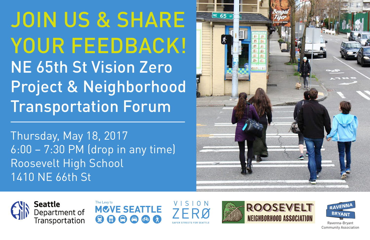JOIN US & SHARE YOUR FEEDBACK! NE 65th St Vision Zero Project & Neighborhood Transportation Forum

Thursday, May 18, 2017 6:00 – 7:30 PM (drop in any time) Roosevelt High School 1410 NE 66th St













Ravenna-Bryant Community Association